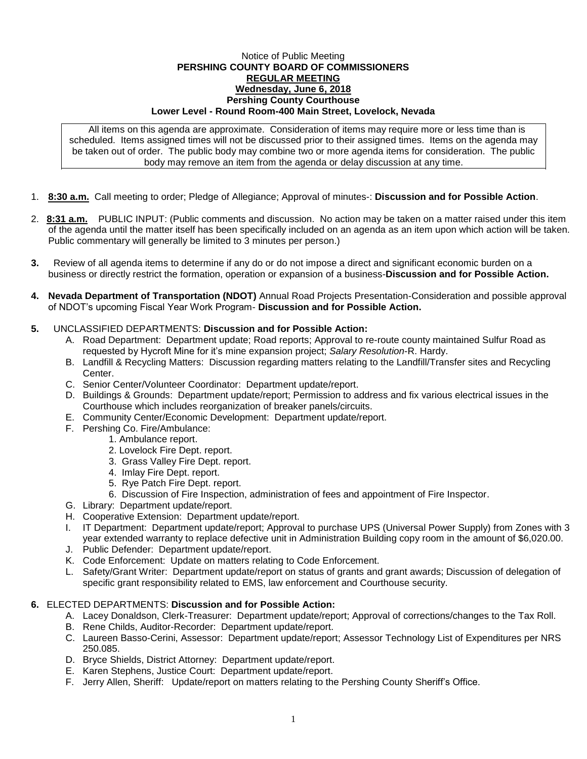### Notice of Public Meeting **PERSHING COUNTY BOARD OF COMMISSIONERS REGULAR MEETING Wednesday, June 6, 2018 Pershing County Courthouse Lower Level - Round Room-400 Main Street, Lovelock, Nevada**

All items on this agenda are approximate. Consideration of items may require more or less time than is scheduled. Items assigned times will not be discussed prior to their assigned times. Items on the agenda may be taken out of order. The public body may combine two or more agenda items for consideration. The public body may remove an item from the agenda or delay discussion at any time.

- 1. **8:30 a.m.** Call meeting to order; Pledge of Allegiance; Approval of minutes-: **Discussion and for Possible Action**.
- 2. **8:31 a.m.** PUBLIC INPUT: (Public comments and discussion. No action may be taken on a matter raised under this item of the agenda until the matter itself has been specifically included on an agenda as an item upon which action will be taken. Public commentary will generally be limited to 3 minutes per person.)
- **3.** Review of all agenda items to determine if any do or do not impose a direct and significant economic burden on a business or directly restrict the formation, operation or expansion of a business-**Discussion and for Possible Action.**
- **4. Nevada Department of Transportation (NDOT)** Annual Road Projects Presentation-Consideration and possible approval of NDOT's upcoming Fiscal Year Work Program- **Discussion and for Possible Action.**

# **5.** UNCLASSIFIED DEPARTMENTS: **Discussion and for Possible Action:**

- A. Road Department: Department update; Road reports; Approval to re-route county maintained Sulfur Road as requested by Hycroft Mine for it's mine expansion project; *Salary Resolution*-R. Hardy.
- B. Landfill & Recycling Matters: Discussion regarding matters relating to the Landfill/Transfer sites and Recycling Center.
- C. Senior Center/Volunteer Coordinator: Department update/report.
- D. Buildings & Grounds: Department update/report; Permission to address and fix various electrical issues in the Courthouse which includes reorganization of breaker panels/circuits.
- E. Community Center/Economic Development: Department update/report.
- F. Pershing Co. Fire/Ambulance:
	- 1. Ambulance report.
	- 2. Lovelock Fire Dept. report.
	- 3. Grass Valley Fire Dept. report.
	- 4. Imlay Fire Dept. report.
	- 5. Rye Patch Fire Dept. report.
	- 6. Discussion of Fire Inspection, administration of fees and appointment of Fire Inspector.
- G. Library: Department update/report.
- H. Cooperative Extension: Department update/report.
- I. IT Department: Department update/report; Approval to purchase UPS (Universal Power Supply) from Zones with 3 year extended warranty to replace defective unit in Administration Building copy room in the amount of \$6,020.00.
- J. Public Defender: Department update/report.
- K. Code Enforcement: Update on matters relating to Code Enforcement.
- L. Safety/Grant Writer: Department update/report on status of grants and grant awards; Discussion of delegation of specific grant responsibility related to EMS, law enforcement and Courthouse security.

## **6.** ELECTED DEPARTMENTS: **Discussion and for Possible Action:**

- A. Lacey Donaldson, Clerk-Treasurer: Department update/report; Approval of corrections/changes to the Tax Roll.
- B. Rene Childs, Auditor-Recorder: Department update/report.
- C. Laureen Basso-Cerini, Assessor: Department update/report; Assessor Technology List of Expenditures per NRS 250.085.
- D. Bryce Shields, District Attorney: Department update/report.
- E. Karen Stephens, Justice Court: Department update/report.
- F. Jerry Allen, Sheriff: Update/report on matters relating to the Pershing County Sheriff's Office.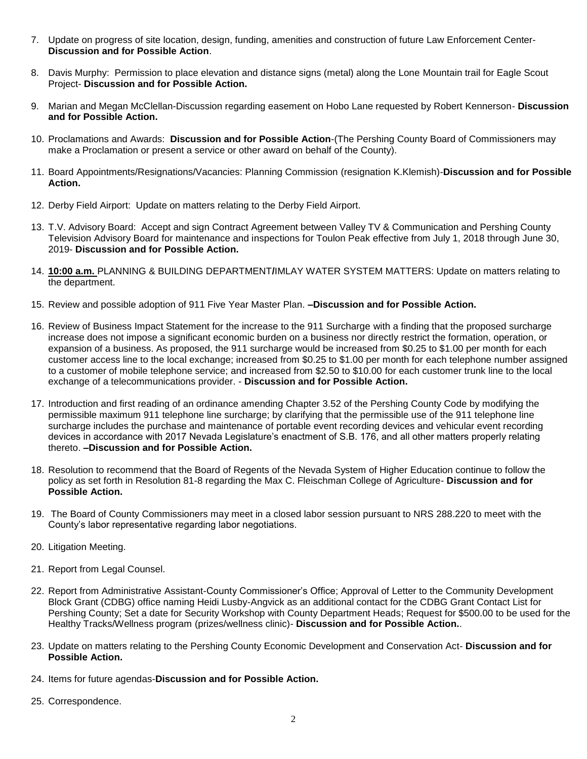- 7. Update on progress of site location, design, funding, amenities and construction of future Law Enforcement Center-**Discussion and for Possible Action**.
- 8. Davis Murphy: Permission to place elevation and distance signs (metal) along the Lone Mountain trail for Eagle Scout Project- **Discussion and for Possible Action.**
- 9. Marian and Megan McClellan-Discussion regarding easement on Hobo Lane requested by Robert Kennerson- **Discussion and for Possible Action.**
- 10. Proclamations and Awards: **Discussion and for Possible Action**-(The Pershing County Board of Commissioners may make a Proclamation or present a service or other award on behalf of the County).
- 11. Board Appointments/Resignations/Vacancies: Planning Commission (resignation K.Klemish)-**Discussion and for Possible Action.**
- 12. Derby Field Airport: Update on matters relating to the Derby Field Airport.
- 13. T.V. Advisory Board: Accept and sign Contract Agreement between Valley TV & Communication and Pershing County Television Advisory Board for maintenance and inspections for Toulon Peak effective from July 1, 2018 through June 30, 2019- **Discussion and for Possible Action.**
- 14. **10:00 a.m.** PLANNING & BUILDING DEPARTMENT**/**IMLAY WATER SYSTEM MATTERS: Update on matters relating to the department.
- 15. Review and possible adoption of 911 Five Year Master Plan. **–Discussion and for Possible Action.**
- 16. Review of Business Impact Statement for the increase to the 911 Surcharge with a finding that the proposed surcharge increase does not impose a significant economic burden on a business nor directly restrict the formation, operation, or expansion of a business. As proposed, the 911 surcharge would be increased from \$0.25 to \$1.00 per month for each customer access line to the local exchange; increased from \$0.25 to \$1.00 per month for each telephone number assigned to a customer of mobile telephone service; and increased from \$2.50 to \$10.00 for each customer trunk line to the local exchange of a telecommunications provider. - **Discussion and for Possible Action.**
- 17. Introduction and first reading of an ordinance amending Chapter 3.52 of the Pershing County Code by modifying the permissible maximum 911 telephone line surcharge; by clarifying that the permissible use of the 911 telephone line surcharge includes the purchase and maintenance of portable event recording devices and vehicular event recording devices in accordance with 2017 Nevada Legislature's enactment of S.B. 176, and all other matters properly relating thereto. **–Discussion and for Possible Action.**
- 18. Resolution to recommend that the Board of Regents of the Nevada System of Higher Education continue to follow the policy as set forth in Resolution 81-8 regarding the Max C. Fleischman College of Agriculture- **Discussion and for Possible Action.**
- 19. The Board of County Commissioners may meet in a closed labor session pursuant to NRS 288.220 to meet with the County's labor representative regarding labor negotiations.
- 20. Litigation Meeting.
- 21. Report from Legal Counsel.
- 22. Report from Administrative Assistant-County Commissioner's Office; Approval of Letter to the Community Development Block Grant (CDBG) office naming Heidi Lusby-Angvick as an additional contact for the CDBG Grant Contact List for Pershing County; Set a date for Security Workshop with County Department Heads; Request for \$500.00 to be used for the Healthy Tracks/Wellness program (prizes/wellness clinic)- **Discussion and for Possible Action.**.
- 23. Update on matters relating to the Pershing County Economic Development and Conservation Act- **Discussion and for Possible Action.**
- 24. Items for future agendas-**Discussion and for Possible Action.**
- 25. Correspondence.